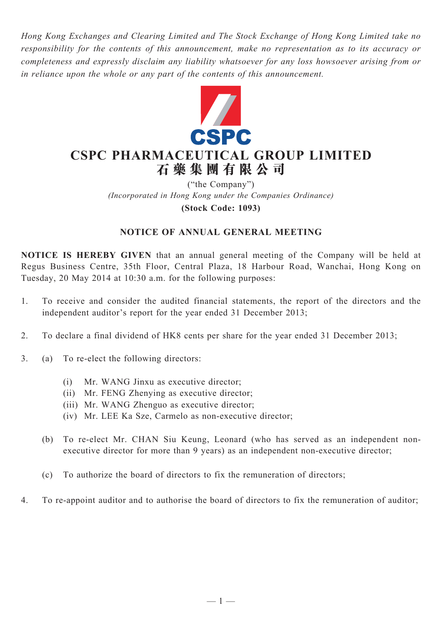*Hong Kong Exchanges and Clearing Limited and The Stock Exchange of Hong Kong Limited take no responsibility for the contents of this announcement, make no representation as to its accuracy or completeness and expressly disclaim any liability whatsoever for any loss howsoever arising from or in reliance upon the whole or any part of the contents of this announcement.*



# **CSPC PHARMACEUTICAL GROUP LIMITED 石 藥 集 團 有 限 公 司**

("the Company") *(Incorporated in Hong Kong under the Companies Ordinance)* **(Stock Code: 1093)**

## **NOTICE OF ANNUAL GENERAL MEETING**

**NOTICE IS HEREBY GIVEN** that an annual general meeting of the Company will be held at Regus Business Centre, 35th Floor, Central Plaza, 18 Harbour Road, Wanchai, Hong Kong on Tuesday, 20 May 2014 at 10:30 a.m. for the following purposes:

- 1. To receive and consider the audited financial statements, the report of the directors and the independent auditor's report for the year ended 31 December 2013;
- 2. To declare a final dividend of HK8 cents per share for the year ended 31 December 2013;
- 3. (a) To re-elect the following directors:
	- (i) Mr. WANG Jinxu as executive director;
	- (ii) Mr. FENG Zhenying as executive director;
	- (iii) Mr. WANG Zhenguo as executive director;
	- (iv) Mr. LEE Ka Sze, Carmelo as non-executive director;
	- (b) To re-elect Mr. CHAN Siu Keung, Leonard (who has served as an independent nonexecutive director for more than 9 years) as an independent non-executive director;
	- (c) To authorize the board of directors to fix the remuneration of directors;
- 4. To re-appoint auditor and to authorise the board of directors to fix the remuneration of auditor;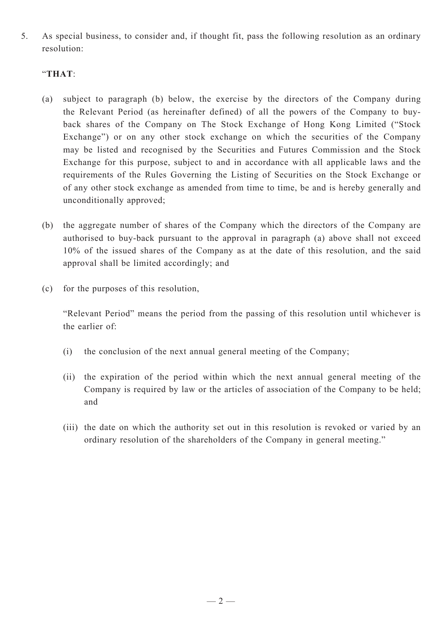5. As special business, to consider and, if thought fit, pass the following resolution as an ordinary resolution:

### "**THAT**:

- (a) subject to paragraph (b) below, the exercise by the directors of the Company during the Relevant Period (as hereinafter defined) of all the powers of the Company to buyback shares of the Company on The Stock Exchange of Hong Kong Limited ("Stock Exchange") or on any other stock exchange on which the securities of the Company may be listed and recognised by the Securities and Futures Commission and the Stock Exchange for this purpose, subject to and in accordance with all applicable laws and the requirements of the Rules Governing the Listing of Securities on the Stock Exchange or of any other stock exchange as amended from time to time, be and is hereby generally and unconditionally approved;
- (b) the aggregate number of shares of the Company which the directors of the Company are authorised to buy-back pursuant to the approval in paragraph (a) above shall not exceed 10% of the issued shares of the Company as at the date of this resolution, and the said approval shall be limited accordingly; and
- (c) for the purposes of this resolution,

"Relevant Period" means the period from the passing of this resolution until whichever is the earlier of:

- (i) the conclusion of the next annual general meeting of the Company;
- (ii) the expiration of the period within which the next annual general meeting of the Company is required by law or the articles of association of the Company to be held; and
- (iii) the date on which the authority set out in this resolution is revoked or varied by an ordinary resolution of the shareholders of the Company in general meeting."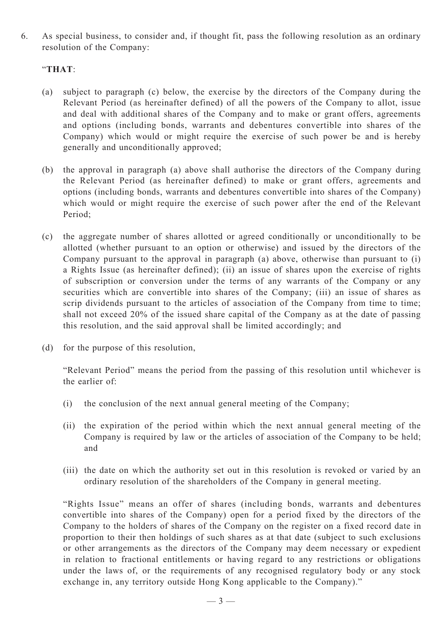6. As special business, to consider and, if thought fit, pass the following resolution as an ordinary resolution of the Company:

### "**THAT**:

- (a) subject to paragraph (c) below, the exercise by the directors of the Company during the Relevant Period (as hereinafter defined) of all the powers of the Company to allot, issue and deal with additional shares of the Company and to make or grant offers, agreements and options (including bonds, warrants and debentures convertible into shares of the Company) which would or might require the exercise of such power be and is hereby generally and unconditionally approved;
- (b) the approval in paragraph (a) above shall authorise the directors of the Company during the Relevant Period (as hereinafter defined) to make or grant offers, agreements and options (including bonds, warrants and debentures convertible into shares of the Company) which would or might require the exercise of such power after the end of the Relevant Period;
- (c) the aggregate number of shares allotted or agreed conditionally or unconditionally to be allotted (whether pursuant to an option or otherwise) and issued by the directors of the Company pursuant to the approval in paragraph (a) above, otherwise than pursuant to (i) a Rights Issue (as hereinafter defined); (ii) an issue of shares upon the exercise of rights of subscription or conversion under the terms of any warrants of the Company or any securities which are convertible into shares of the Company; (iii) an issue of shares as scrip dividends pursuant to the articles of association of the Company from time to time; shall not exceed 20% of the issued share capital of the Company as at the date of passing this resolution, and the said approval shall be limited accordingly; and
- (d) for the purpose of this resolution,

"Relevant Period" means the period from the passing of this resolution until whichever is the earlier of:

- (i) the conclusion of the next annual general meeting of the Company;
- (ii) the expiration of the period within which the next annual general meeting of the Company is required by law or the articles of association of the Company to be held; and
- (iii) the date on which the authority set out in this resolution is revoked or varied by an ordinary resolution of the shareholders of the Company in general meeting.

"Rights Issue" means an offer of shares (including bonds, warrants and debentures convertible into shares of the Company) open for a period fixed by the directors of the Company to the holders of shares of the Company on the register on a fixed record date in proportion to their then holdings of such shares as at that date (subject to such exclusions or other arrangements as the directors of the Company may deem necessary or expedient in relation to fractional entitlements or having regard to any restrictions or obligations under the laws of, or the requirements of any recognised regulatory body or any stock exchange in, any territory outside Hong Kong applicable to the Company)."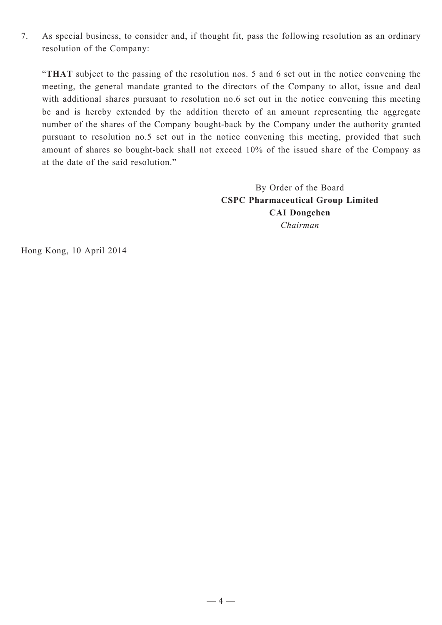7. As special business, to consider and, if thought fit, pass the following resolution as an ordinary resolution of the Company:

"**THAT** subject to the passing of the resolution nos. 5 and 6 set out in the notice convening the meeting, the general mandate granted to the directors of the Company to allot, issue and deal with additional shares pursuant to resolution no.6 set out in the notice convening this meeting be and is hereby extended by the addition thereto of an amount representing the aggregate number of the shares of the Company bought-back by the Company under the authority granted pursuant to resolution no.5 set out in the notice convening this meeting, provided that such amount of shares so bought-back shall not exceed 10% of the issued share of the Company as at the date of the said resolution."

> By Order of the Board **CSPC Pharmaceutical Group Limited CAI Dongchen** *Chairman*

Hong Kong, 10 April 2014